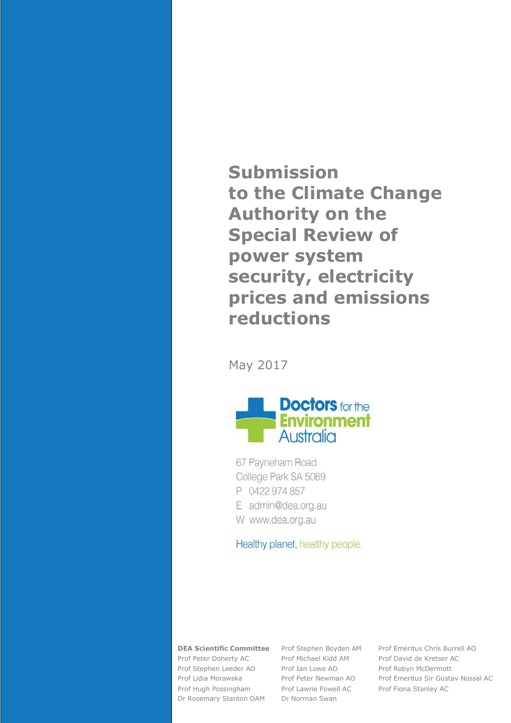**Submission to the Climate Change Authority on the Special Review of power system security, electricity prices and emissions reductions**

May 2017



67 Payneham Road College Park SA 5069 P 0422 974 857 E admin@dea.org.au W www.dea.org.au

Healthy planet, healthy people.

Prof Peter Doherty AC Prof Michael Kidd AM Prof David de Kretser AC Prof Stephen Leeder AO Prof Ian Lowe AO Prof Robyn McDermott Prof Hugh Possingham Prof Lawrie Powell AC Prof Fiona Stanley AC Dr Rosemary Stanton OAM Dr Norman Swan

**DEA Scientific Committee** Prof Stephen Boyden AM Prof Emeritus Chris Burrell AO Prof Lidia Morawska Prof Peter Newman AO Prof Emeritus Sir Gustav Nossal AC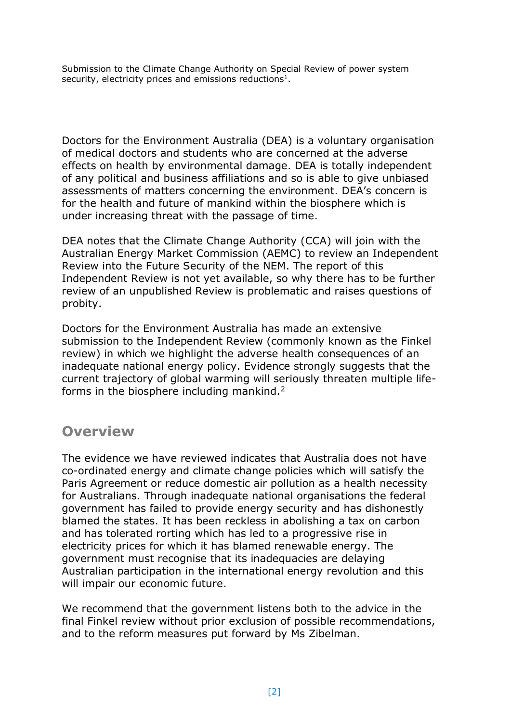Submission to the Climate Change Authority on Special Review of power system security, electricity prices and emissions reductions<sup>1</sup>.

Doctors for the Environment Australia (DEA) is a voluntary organisation of medical doctors and students who are concerned at the adverse effects on health by environmental damage. DEA is totally independent of any political and business affiliations and so is able to give unbiased assessments of matters concerning the environment. DEA's concern is for the health and future of mankind within the biosphere which is under increasing threat with the passage of time.

DEA notes that the Climate Change Authority (CCA) will join with the Australian Energy Market Commission (AEMC) to review an Independent Review into the Future Security of the NEM. The report of this Independent Review is not yet available, so why there has to be further review of an unpublished Review is problematic and raises questions of probity.

Doctors for the Environment Australia has made an extensive submission to the Independent Review (commonly known as the Finkel review) in which we highlight the adverse health consequences of an inadequate national energy policy. Evidence strongly suggests that the current trajectory of global warming will seriously threaten multiple lifeforms in the biosphere including mankind.<sup>2</sup>

## **Overview**

The evidence we have reviewed indicates that Australia does not have co-ordinated energy and climate change policies which will satisfy the Paris Agreement or reduce domestic air pollution as a health necessity for Australians. Through inadequate national organisations the federal government has failed to provide energy security and has dishonestly blamed the states. It has been reckless in abolishing a tax on carbon and has tolerated rorting which has led to a progressive rise in electricity prices for which it has blamed renewable energy. The government must recognise that its inadequacies are delaying Australian participation in the international energy revolution and this will impair our economic future.

We recommend that the government listens both to the advice in the final Finkel review without prior exclusion of possible recommendations, and to the reform measures put forward by Ms Zibelman.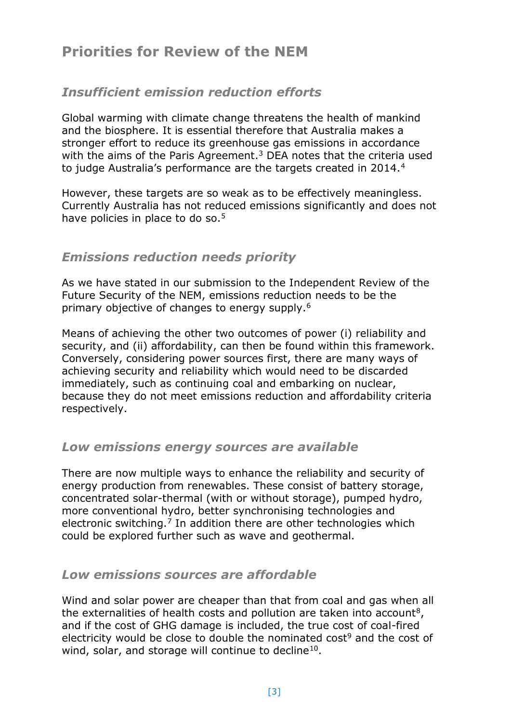# **Priorities for Review of the NEM**

## *Insufficient emission reduction efforts*

Global warming with climate change threatens the health of mankind and the biosphere. It is essential therefore that Australia makes a stronger effort to reduce its greenhouse gas emissions in accordance with the aims of the Paris Agreement. $3$  DEA notes that the criteria used to judge Australia's performance are the targets created in 2014.<sup>4</sup>

However, these targets are so weak as to be effectively meaningless. Currently Australia has not reduced emissions significantly and does not have policies in place to do so.<sup>5</sup>

## *Emissions reduction needs priority*

As we have stated in our submission to the Independent Review of the Future Security of the NEM, emissions reduction needs to be the primary objective of changes to energy supply.<sup>6</sup>

Means of achieving the other two outcomes of power (i) reliability and security, and (ii) affordability, can then be found within this framework. Conversely, considering power sources first, there are many ways of achieving security and reliability which would need to be discarded immediately, such as continuing coal and embarking on nuclear, because they do not meet emissions reduction and affordability criteria respectively.

#### *Low emissions energy sources are available*

There are now multiple ways to enhance the reliability and security of energy production from renewables. These consist of battery storage, concentrated solar-thermal (with or without storage), pumped hydro, more conventional hydro, better synchronising technologies and electronic switching.<sup>7</sup> In addition there are other technologies which could be explored further such as wave and geothermal.

#### *Low emissions sources are affordable*

Wind and solar power are cheaper than that from coal and gas when all the externalities of health costs and pollution are taken into account<sup>8</sup>, and if the cost of GHG damage is included, the true cost of coal-fired electricity would be close to double the nominated cost<sup>9</sup> and the cost of wind, solar, and storage will continue to decline<sup>10</sup>.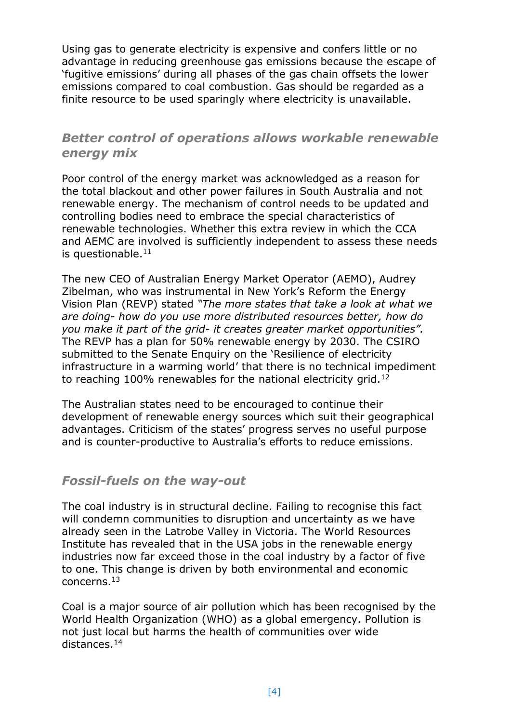Using gas to generate electricity is expensive and confers little or no advantage in reducing greenhouse gas emissions because the escape of 'fugitive emissions' during all phases of the gas chain offsets the lower emissions compared to coal combustion. Gas should be regarded as a finite resource to be used sparingly where electricity is unavailable.

### *Better control of operations allows workable renewable energy mix*

Poor control of the energy market was acknowledged as a reason for the total blackout and other power failures in South Australia and not renewable energy. The mechanism of control needs to be updated and controlling bodies need to embrace the special characteristics of renewable technologies. Whether this extra review in which the CCA and AEMC are involved is sufficiently independent to assess these needs is questionable. $11$ 

The new CEO of Australian Energy Market Operator (AEMO), Audrey Zibelman, who was instrumental in New York's Reform the Energy Vision Plan (REVP) stated *"The more states that take a look at what we are doing- how do you use more distributed resources better, how do you make it part of the grid- it creates greater market opportunities".* The REVP has a plan for 50% renewable energy by 2030. The CSIRO submitted to the Senate Enquiry on the 'Resilience of electricity infrastructure in a warming world' that there is no technical impediment to reaching 100% renewables for the national electricity grid.<sup>12</sup>

The Australian states need to be encouraged to continue their development of renewable energy sources which suit their geographical advantages. Criticism of the states' progress serves no useful purpose and is counter-productive to Australia's efforts to reduce emissions.

#### *Fossil-fuels on the way-out*

The coal industry is in structural decline. Failing to recognise this fact will condemn communities to disruption and uncertainty as we have already seen in the Latrobe Valley in Victoria. The World Resources Institute has revealed that in the USA jobs in the renewable energy industries now far exceed those in the coal industry by a factor of five to one. This change is driven by both environmental and economic concerns.<sup>13</sup>

Coal is a major source of air pollution which has been recognised by the World Health Organization (WHO) as a global emergency. Pollution is not just local but harms the health of communities over wide distances.14